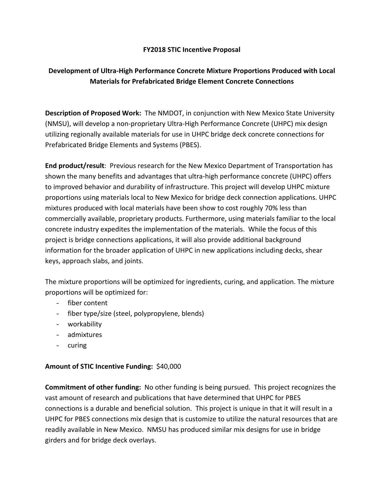## **FY2018 STIC Incentive Proposal**

## **Development of Ultra‐High Performance Concrete Mixture Proportions Produced with Local Materials for Prefabricated Bridge Element Concrete Connections**

**Description of Proposed Work:** The NMDOT, in conjunction with New Mexico State University (NMSU), will develop a non‐proprietary Ultra‐High Performance Concrete (UHPC) mix design utilizing regionally available materials for use in UHPC bridge deck concrete connections for Prefabricated Bridge Elements and Systems (PBES).

**End product/result**: Previous research for the New Mexico Department of Transportation has shown the many benefits and advantages that ultra-high performance concrete (UHPC) offers to improved behavior and durability of infrastructure. This project will develop UHPC mixture proportions using materials local to New Mexico for bridge deck connection applications. UHPC mixtures produced with local materials have been show to cost roughly 70% less than commercially available, proprietary products. Furthermore, using materials familiar to the local concrete industry expedites the implementation of the materials. While the focus of this project is bridge connections applications, it will also provide additional background information for the broader application of UHPC in new applications including decks, shear keys, approach slabs, and joints.

The mixture proportions will be optimized for ingredients, curing, and application. The mixture proportions will be optimized for:

- fiber content
- fiber type/size (steel, polypropylene, blends)
- workability
- admixtures
- curing

## **Amount of STIC Incentive Funding:** \$40,000

**Commitment of other funding:** No other funding is being pursued. This project recognizes the vast amount of research and publications that have determined that UHPC for PBES connections is a durable and beneficial solution. This project is unique in that it will result in a UHPC for PBES connections mix design that is customize to utilize the natural resources that are readily available in New Mexico. NMSU has produced similar mix designs for use in bridge girders and for bridge deck overlays.